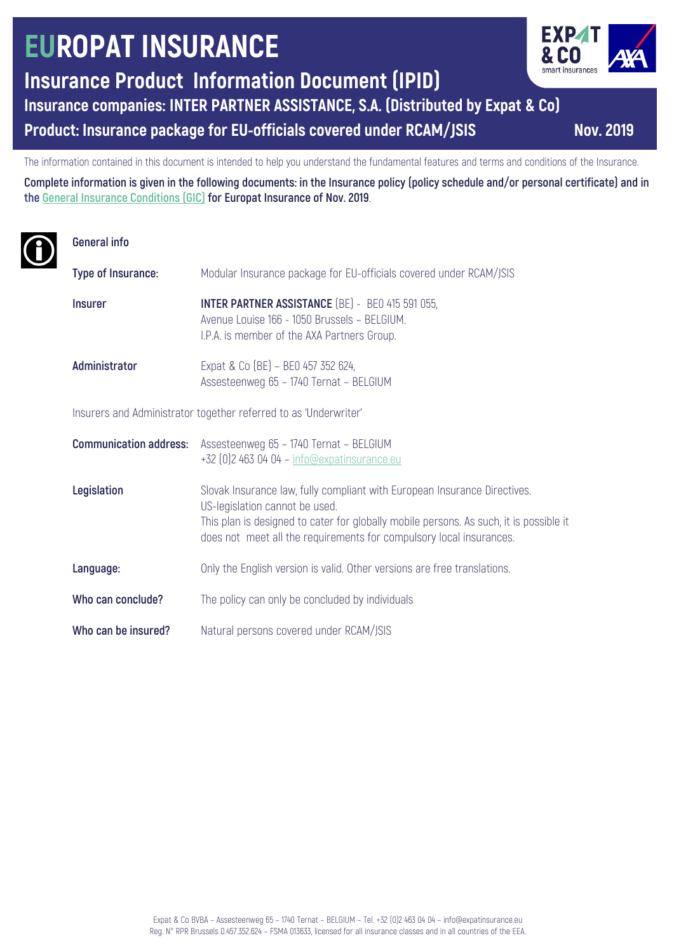# **EUROPAT INSURANCE**

**Insurance Product Information Document (IPID)**

**Insurance companies: INTER PARTNER ASSISTANCE, S.A. (Distributed by Expat & Co)**

**Product: Insurance package for EU-officials covered under RCAM/JSIS Nov. 2019**

The information contained in this document is intended to help you understand the fundamental features and terms and conditions of the Insurance.

**Complete information is given in the following documents: in the Insurance policy (policy schedule and/or personal certificate) and in the General Insurance Conditions (GIC) for Europat Insurance of Nov. 2019**.

# **General info**

| Type of Insurance:                                               | Modular Insurance package for EU-officials covered under RCAM/JSIS                                                                                                                                                                                                           |
|------------------------------------------------------------------|------------------------------------------------------------------------------------------------------------------------------------------------------------------------------------------------------------------------------------------------------------------------------|
| <b>Insurer</b>                                                   | <b>INTER PARTNER ASSISTANCE (BE) - BEO 415 591 055,</b><br>Avenue Louise 166 - 1050 Brussels - BELGIUM.<br>I.P.A. is member of the AXA Partners Group.                                                                                                                       |
| Administrator                                                    | Expat & Co (BE) - BE0 457 352 624,<br>Assesteenweg 65 - 1740 Ternat - BELGIUM                                                                                                                                                                                                |
| Insurers and Administrator together referred to as 'Underwriter' |                                                                                                                                                                                                                                                                              |
| <b>Communication address:</b>                                    | Assesteenweg 65 - 1740 Ternat - BELGIUM<br>+32 [0] 2 463 04 04 - info@expatinsurance.eu                                                                                                                                                                                      |
| Legislation                                                      | Slovak Insurance law, fully compliant with European Insurance Directives.<br>US-legislation cannot be used.<br>This plan is designed to cater for globally mobile persons. As such, it is possible it<br>does not meet all the requirements for compulsory local insurances. |
| Language:                                                        | Only the English version is valid. Other versions are free translations.                                                                                                                                                                                                     |
| Who can conclude?                                                | The policy can only be concluded by individuals                                                                                                                                                                                                                              |
| Who can be insured?                                              | Natural persons covered under RCAM/JSIS                                                                                                                                                                                                                                      |

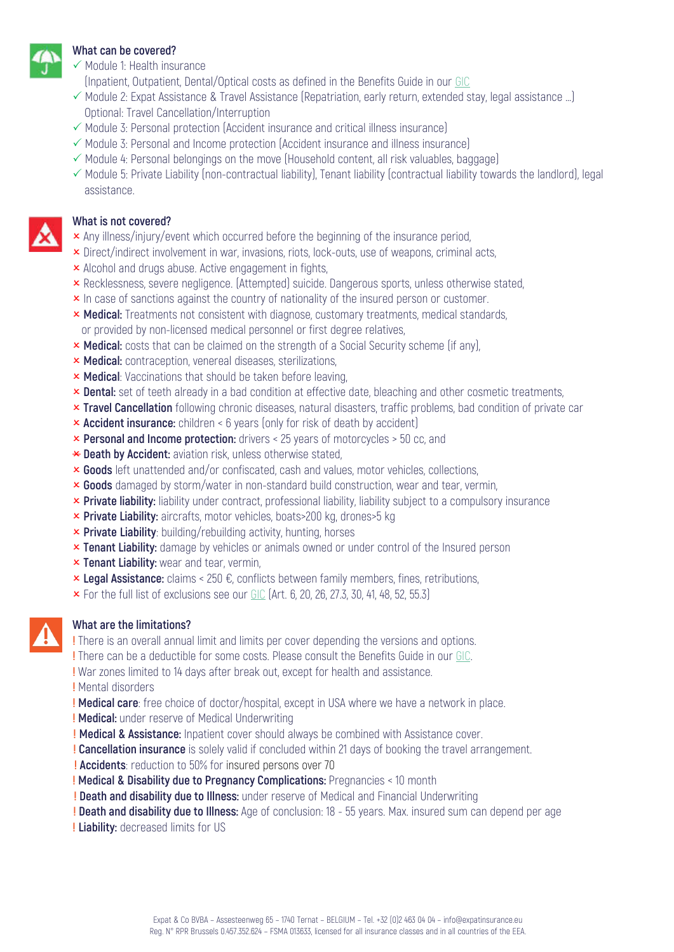

#### **What can be covered?**

- $\checkmark$  Module 1: Health insurance
- (Inpatient, Outpatient, Dental/Optical costs as defined in the Benefits Guide in our GIC
- $\checkmark$  Module 2: Expat Assistance & Travel Assistance (Repatriation, early return, extended stay, legal assistance ...) Optional: Travel Cancellation/Interruption
- $\checkmark$  Module 3: Personal protection (Accident insurance and critical illness insurance)
- $\checkmark$  Module 3: Personal and Income protection (Accident insurance and illness insurance)
- $\checkmark$  Module 4: Personal belongings on the move (Household content, all risk valuables, baggage)
- $\checkmark$  Module 5: Private Liability (non-contractual liability), Tenant liability (contractual liability towards the landlord), legal assistance.

#### **What is not covered?**

- $\times$  Any illness/injury/event which occurred before the beginning of the insurance period,
- **x** Direct/indirect involvement in war, invasions, riots, lock-outs, use of weapons, criminal acts,
- **x** Alcohol and drugs abuse. Active engagement in fights,
- **x** Recklessness, severe negligence. (Attempted) suicide. Dangerous sports, unless otherwise stated,
- **x** In case of sanctions against the country of nationality of the insured person or customer.
- **× Medical:** Treatments not consistent with diagnose, customary treatments, medical standards, or provided by non-licensed medical personnel or first degree relatives,
- **x Medical:** costs that can be claimed on the strength of a Social Security scheme (if any),
- **× Medical:** contraception, venereal diseases, sterilizations,
- **x Medical**: Vaccinations that should be taken before leaving,
- **x** Dental: set of teeth already in a bad condition at effective date, bleaching and other cosmetic treatments,
- **x Travel Cancellation** following chronic diseases, natural disasters, traffic problems, bad condition of private car
- **x Accident insurance:** children < 6 years (only for risk of death by accident)
- **x Personal and Income protection:** drivers < 25 years of motorcycles > 50 cc, and
- \* Death by Accident: aviation risk, unless otherwise stated,
- **x Goods** left unattended and/or confiscated, cash and values, motor vehicles, collections,
- **x Goods** damaged by storm/water in non-standard build construction, wear and tear, vermin,
- **x** Private liability: liability under contract, professional liability, liability subject to a compulsory insurance
- **× Private Liability:** aircrafts, motor vehicles, boats>200 kg, drones>5 kg
- **x Private Liability**: building/rebuilding activity, hunting, horses
- **x Tenant Liability:** damage by vehicles or animals owned or under control of the Insured person
- **x Tenant Liability:** wear and tear, vermin,
- **× Legal Assistance:** claims < 250 €, conflicts between family members, fines, retributions,
- $\times$  For the full list of exclusions see our GIC (Art. 6, 20, 26, 27.3, 30, 41, 48, 52, 55.3)

### **What are the limitations?**

**!** There is an overall annual limit and limits per cover depending the versions and options.

**!** There can be a deductible for some costs. Please consult the Benefits Guide in our GIC.

**!** War zones limited to 14 days after break out, except for health and assistance.

**!** Mental disorders

**! Medical care**: free choice of doctor/hospital, except in USA where we have a network in place.

- **! Medical:** under reserve of Medical Underwriting
- **! Medical & Assistance:** Inpatient cover should always be combined with Assistance cover.
- **! Cancellation insurance** is solely valid if concluded within 21 days of booking the travel arrangement.
- **! Accidents**: reduction to 50% for insured persons over 70
- **! Medical & Disability due to Pregnancy Complications:** Pregnancies < 10 month
- **! Death and disability due to Illness:** under reserve of Medical and Financial Underwriting
- **! Death and disability due to Illness:** Age of conclusion: 18 55 years. Max. insured sum can depend per age
- **! Liability:** decreased limits for US